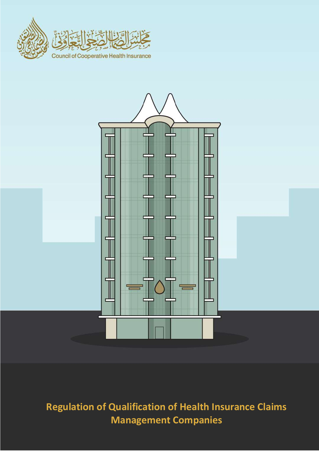



# **Regulation of Qualification of Health Insurance Claims Management Companies**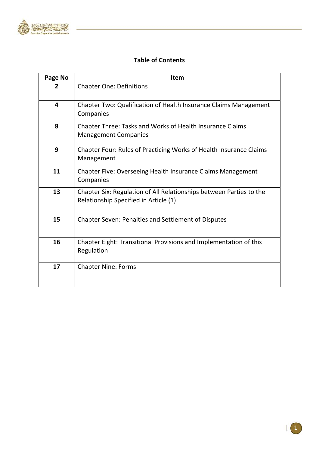

## **Table of Contents**

| Page No        | Item                                                                                                         |
|----------------|--------------------------------------------------------------------------------------------------------------|
| $\overline{2}$ | <b>Chapter One: Definitions</b>                                                                              |
| 4              | Chapter Two: Qualification of Health Insurance Claims Management<br>Companies                                |
| 8              | Chapter Three: Tasks and Works of Health Insurance Claims<br><b>Management Companies</b>                     |
| 9              | Chapter Four: Rules of Practicing Works of Health Insurance Claims<br>Management                             |
| 11             | Chapter Five: Overseeing Health Insurance Claims Management<br>Companies                                     |
| 13             | Chapter Six: Regulation of All Relationships between Parties to the<br>Relationship Specified in Article (1) |
| 15             | <b>Chapter Seven: Penalties and Settlement of Disputes</b>                                                   |
| 16             | Chapter Eight: Transitional Provisions and Implementation of this<br>Regulation                              |
| 17             | <b>Chapter Nine: Forms</b>                                                                                   |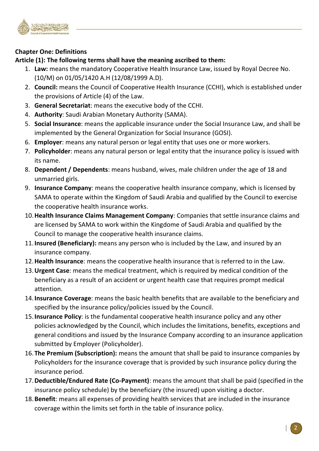

## **Chapter One: Definitions**

## **Article (1): The following terms shall have the meaning ascribed to them:**

- 1. **Law:** means the mandatory Cooperative Health Insurance Law, issued by Royal Decree No. (10/M) on 01/05/1420 A.H (12/08/1999 A.D).
- 2. **Council:** means the Council of Cooperative Health Insurance (CCHI), which is established under the provisions of Article (4) of the Law.
- 3. **General Secretariat**: means the executive body of the CCHI.
- 4. **Authority**: Saudi Arabian Monetary Authority (SAMA).
- 5. **Social Insurance**: means the applicable insurance under the Social Insurance Law, and shall be implemented by the General Organization for Social Insurance (GOSI).
- 6. **Employer**: means any natural person or legal entity that uses one or more workers.
- 7. **Policyholder**: means any natural person or legal entity that the insurance policy is issued with its name.
- 8. **Dependent / Dependents**: means husband, wives, male children under the age of 18 and unmarried girls.
- 9. **Insurance Company**: means the cooperative health insurance company, which is licensed by SAMA to operate within the Kingdom of Saudi Arabia and qualified by the Council to exercise the cooperative health insurance works.
- 10.**Health Insurance Claims Management Company**: Companies that settle insurance claims and are licensed by SAMA to work within the Kingdome of Saudi Arabia and qualified by the Council to manage the cooperative health insurance claims.
- 11.**Insured (Beneficiary):** means any person who is included by the Law, and insured by an insurance company.
- 12.**Health Insurance**: means the cooperative health insurance that is referred to in the Law.
- 13.**Urgent Case**: means the medical treatment, which is required by medical condition of the beneficiary as a result of an accident or urgent health case that requires prompt medical attention.
- 14.**Insurance Coverage**: means the basic health benefits that are available to the beneficiary and specified by the insurance policy/policies issued by the Council.
- 15.**Insurance Policy**: is the fundamental cooperative health insurance policy and any other policies acknowledged by the Council, which includes the limitations, benefits, exceptions and general conditions and issued by the Insurance Company according to an insurance application submitted by Employer (Policyholder).
- 16.**The Premium (Subscription):** means the amount that shall be paid to insurance companies by Policyholders for the insurance coverage that is provided by such insurance policy during the insurance period.
- 17.**Deductible/Endured Rate (Co-Payment)**: means the amount that shall be paid (specified in the insurance policy schedule) by the beneficiary (the insured) upon visiting a doctor.
- 18.**Benefit**: means all expenses of providing health services that are included in the insurance coverage within the limits set forth in the table of insurance policy.

2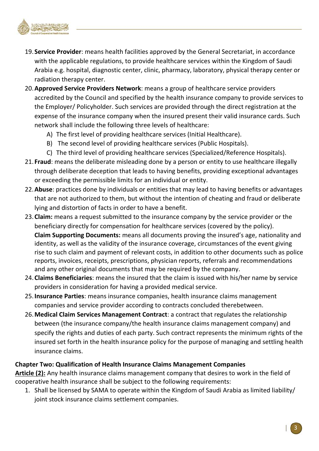

- 19. **Service Provider**: means health facilities approved by the General Secretariat, in accordance with the applicable regulations, to provide healthcare services within the Kingdom of Saudi Arabia e.g. hospital, diagnostic center, clinic, pharmacy, laboratory, physical therapy center or radiation therapy center.
- 20.**Approved Service Providers Network**: means a group of healthcare service providers accredited by the Council and specified by the health insurance company to provide services to the Employer/ Policyholder. Such services are provided through the direct registration at the expense of the insurance company when the insured present their valid insurance cards. Such network shall include the following three levels of healthcare:
	- A) The first level of providing healthcare services (Initial Healthcare).
	- B) The second level of providing healthcare services (Public Hospitals).
	- C) The third level of providing healthcare services (Specialized/Reference Hospitals).
- 21. **Fraud**: means the deliberate misleading done by a person or entity to use healthcare illegally through deliberate deception that leads to having benefits, providing exceptional advantages or exceeding the permissible limits for an individual or entity.
- 22.**Abuse**: practices done by individuals or entities that may lead to having benefits or advantages that are not authorized to them, but without the intention of cheating and fraud or deliberate lying and distortion of facts in order to have a benefit.
- 23.**Claim:** means a request submitted to the insurance company by the service provider or the beneficiary directly for compensation for healthcare services (covered by the policy). **Claim Supporting Documents:** means all documents proving the insured's age, nationality and identity, as well as the validity of the insurance coverage, circumstances of the event giving rise to such claim and payment of relevant costs, in addition to other documents such as police reports, invoices, receipts, prescriptions, physician reports, referrals and recommendations and any other original documents that may be required by the company.
- 24.**Claims Beneficiaries**: means the insured that the claim is issued with his/her name by service providers in consideration for having a provided medical service.
- 25.**Insurance Parties**: means insurance companies, health insurance claims management companies and service provider according to contracts concluded therebetween.
- 26.**Medical Claim Services Management Contract**: a contract that regulates the relationship between (the insurance company/the health insurance claims management company) and specify the rights and duties of each party. Such contract represents the minimum rights of the insured set forth in the health insurance policy for the purpose of managing and settling health insurance claims.

## **Chapter Two: Qualification of Health Insurance Claims Management Companies**

**Article (2):** Any health insurance claims management company that desires to work in the field of cooperative health insurance shall be subject to the following requirements:

1. Shall be licensed by SAMA to operate within the Kingdom of Saudi Arabia as limited liability/ joint stock insurance claims settlement companies.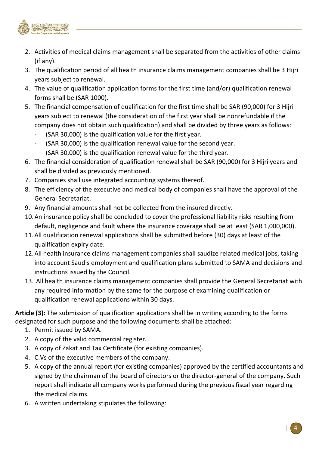

- 2. Activities of medical claims management shall be separated from the activities of other claims (if any).
- 3. The qualification period of all health insurance claims management companies shall be 3 Hijri years subject to renewal.
- 4. The value of qualification application forms for the first time (and/or) qualification renewal forms shall be (SAR 1000).
- 5. The financial compensation of qualification for the first time shall be SAR (90,000) for 3 Hijri years subject to renewal (the consideration of the first year shall be nonrefundable if the company does not obtain such qualification) and shall be divided by three years as follows:
	- (SAR 30,000) is the qualification value for the first year.
	- (SAR 30,000) is the qualification renewal value for the second year.
	- (SAR 30,000) is the qualification renewal value for the third year.
- 6. The financial consideration of qualification renewal shall be SAR (90,000) for 3 Hijri years and shall be divided as previously mentioned.
- 7. Companies shall use integrated accounting systems thereof.
- 8. The efficiency of the executive and medical body of companies shall have the approval of the General Secretariat.
- 9. Any financial amounts shall not be collected from the insured directly.
- 10.An insurance policy shall be concluded to cover the professional liability risks resulting from default, negligence and fault where the insurance coverage shall be at least (SAR 1,000,000).
- 11.All qualification renewal applications shall be submitted before (30) days at least of the qualification expiry date.
- 12.All health insurance claims management companies shall saudize related medical jobs, taking into account Saudis employment and qualification plans submitted to SAMA and decisions and instructions issued by the Council.
- 13. All health insurance claims management companies shall provide the General Secretariat with any required information by the same for the purpose of examining qualification or qualification renewal applications within 30 days.

**Article (3):** The submission of qualification applications shall be in writing according to the forms designated for such purpose and the following documents shall be attached:

- 1. Permit issued by SAMA.
- 2. A copy of the valid commercial register.
- 3. A copy of Zakat and Tax Certificate (for existing companies).
- 4. C.Vs of the executive members of the company.
- 5. A copy of the annual report (for existing companies) approved by the certified accountants and signed by the chairman of the board of directors or the director-general of the company. Such report shall indicate all company works performed during the previous fiscal year regarding the medical claims.
- 6. A written undertaking stipulates the following: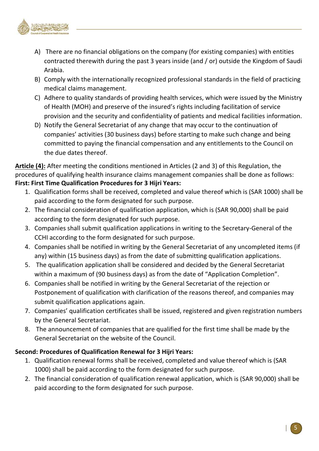

- A) There are no financial obligations on the company (for existing companies) with entities contracted therewith during the past 3 years inside (and / or) outside the Kingdom of Saudi Arabia.
- B) Comply with the internationally recognized professional standards in the field of practicing medical claims management.
- C) Adhere to quality standards of providing health services, which were issued by the Ministry of Health (MOH) and preserve of the insured's rights including facilitation of service provision and the security and confidentiality of patients and medical facilities information.
- D) Notify the General Secretariat of any change that may occur to the continuation of companies' activities (30 business days) before starting to make such change and being committed to paying the financial compensation and any entitlements to the Council on the due dates thereof.

**Article (4):** After meeting the conditions mentioned in Articles (2 and 3) of this Regulation, the procedures of qualifying health insurance claims management companies shall be done as follows: **First: First Time Qualification Procedures for 3 Hijri Years:**

- 1. Qualification forms shall be received, completed and value thereof which is (SAR 1000) shall be paid according to the form designated for such purpose.
- 2. The financial consideration of qualification application, which is (SAR 90,000) shall be paid according to the form designated for such purpose.
- 3. Companies shall submit qualification applications in writing to the Secretary-General of the CCHI according to the form designated for such purpose.
- 4. Companies shall be notified in writing by the General Secretariat of any uncompleted items (if any) within (15 business days) as from the date of submitting qualification applications.
- 5. The qualification application shall be considered and decided by the General Secretariat within a maximum of (90 business days) as from the date of "Application Completion".
- 6. Companies shall be notified in writing by the General Secretariat of the rejection or Postponement of qualification with clarification of the reasons thereof, and companies may submit qualification applications again.
- 7. Companies' qualification certificates shall be issued, registered and given registration numbers by the General Secretariat.
- 8. The announcement of companies that are qualified for the first time shall be made by the General Secretariat on the website of the Council.

## **Second: Procedures of Qualification Renewal for 3 Hijri Years:**

- 1. Qualification renewal forms shall be received, completed and value thereof which is (SAR 1000) shall be paid according to the form designated for such purpose.
- 2. The financial consideration of qualification renewal application, which is (SAR 90,000) shall be paid according to the form designated for such purpose.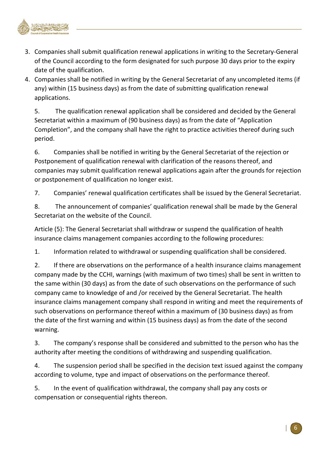

- 3. Companies shall submit qualification renewal applications in writing to the Secretary-General of the Council according to the form designated for such purpose 30 days prior to the expiry date of the qualification.
- 4. Companies shall be notified in writing by the General Secretariat of any uncompleted items (if any) within (15 business days) as from the date of submitting qualification renewal applications.

5. The qualification renewal application shall be considered and decided by the General Secretariat within a maximum of (90 business days) as from the date of "Application Completion", and the company shall have the right to practice activities thereof during such period.

6. Companies shall be notified in writing by the General Secretariat of the rejection or Postponement of qualification renewal with clarification of the reasons thereof, and companies may submit qualification renewal applications again after the grounds for rejection or postponement of qualification no longer exist.

7. Companies' renewal qualification certificates shall be issued by the General Secretariat.

8. The announcement of companies' qualification renewal shall be made by the General Secretariat on the website of the Council.

Article (5): The General Secretariat shall withdraw or suspend the qualification of health insurance claims management companies according to the following procedures:

1. Information related to withdrawal or suspending qualification shall be considered.

2. If there are observations on the performance of a health insurance claims management company made by the CCHI, warnings (with maximum of two times) shall be sent in written to the same within (30 days) as from the date of such observations on the performance of such company came to knowledge of and /or received by the General Secretariat. The health insurance claims management company shall respond in writing and meet the requirements of such observations on performance thereof within a maximum of (30 business days) as from the date of the first warning and within (15 business days) as from the date of the second warning.

3. The company's response shall be considered and submitted to the person who has the authority after meeting the conditions of withdrawing and suspending qualification.

4. The suspension period shall be specified in the decision text issued against the company according to volume, type and impact of observations on the performance thereof.

5. In the event of qualification withdrawal, the company shall pay any costs or compensation or consequential rights thereon.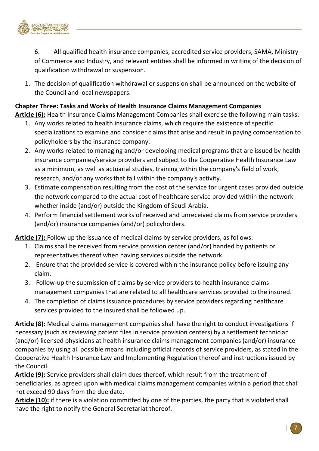

6. All qualified health insurance companies, accredited service providers, SAMA, Ministry of Commerce and Industry, and relevant entities shall be informed in writing of the decision of qualification withdrawal or suspension.

1. The decision of qualification withdrawal or suspension shall be announced on the website of the Council and local newspapers.

### **Chapter Three: Tasks and Works of Health Insurance Claims Management Companies**

**Article (6):** Health Insurance Claims Management Companies shall exercise the following main tasks:

- 1. Any works related to health insurance claims, which require the existence of specific specializations to examine and consider claims that arise and result in paying compensation to policyholders by the insurance company.
- 2. Any works related to managing and/or developing medical programs that are issued by health insurance companies/service providers and subject to the Cooperative Health Insurance Law as a minimum, as well as actuarial studies, training within the company's field of work, research, and/or any works that fall within the company's activity.
- 3. Estimate compensation resulting from the cost of the service for urgent cases provided outside the network compared to the actual cost of healthcare service provided within the network whether inside (and/or) outside the Kingdom of Saudi Arabia.
- 4. Perform financial settlement works of received and unreceived claims from service providers (and/or) insurance companies (and/or) policyholders.

**Article (7):** Follow up the issuance of medical claims by service providers, as follows:

- 1. Claims shall be received from service provision center (and/or) handed by patients or representatives thereof when having services outside the network.
- 2. Ensure that the provided service is covered within the insurance policy before issuing any claim.
- 3. Follow-up the submission of claims by service providers to health insurance claims management companies that are related to all healthcare services provided to the insured.
- 4. The completion of claims issuance procedures by service providers regarding healthcare services provided to the insured shall be followed up.

**Article (8):** Medical claims management companies shall have the right to conduct investigations if necessary (such as reviewing patient files in service provision centers) by a settlement technician (and/or) licensed physicians at health insurance claims management companies (and/or) insurance companies by using all possible means including official records of service providers, as stated in the Cooperative Health Insurance Law and Implementing Regulation thereof and instructions issued by the Council.

**Article (9):** Service providers shall claim dues thereof, which result from the treatment of beneficiaries, as agreed upon with medical claims management companies within a period that shall not exceed 90 days from the due date.

**Article (10):** if there is a violation committed by one of the parties, the party that is violated shall have the right to notify the General Secretariat thereof.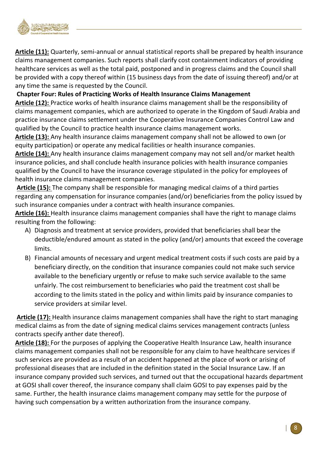

**Article (11):** Quarterly, semi-annual or annual statistical reports shall be prepared by health insurance claims management companies. Such reports shall clarify cost containment indicators of providing healthcare services as well as the total paid, postponed and in progress claims and the Council shall be provided with a copy thereof within (15 business days from the date of issuing thereof) and/or at any time the same is requested by the Council.

**Chapter Four: Rules of Practicing Works of Health Insurance Claims Management** 

**Article (12):** Practice works of health insurance claims management shall be the responsibility of claims management companies, which are authorized to operate in the Kingdom of Saudi Arabia and practice insurance claims settlement under the Cooperative Insurance Companies Control Law and qualified by the Council to practice health insurance claims management works.

**Article (13):** Any health insurance claims management company shall not be allowed to own (or equity participation) or operate any medical facilities or health insurance companies.

**Article (14):** Any health insurance claims management company may not sell and/or market health insurance policies, and shall conclude health insurance policies with health insurance companies qualified by the Council to have the insurance coverage stipulated in the policy for employees of health insurance claims management companies.

**Article (15):** The company shall be responsible for managing medical claims of a third parties regarding any compensation for insurance companies (and/or) beneficiaries from the policy issued by such insurance companies under a contract with health insurance companies.

**Article (16):** Health insurance claims management companies shall have the right to manage claims resulting from the following:

- A) Diagnosis and treatment at service providers, provided that beneficiaries shall bear the deductible/endured amount as stated in the policy (and/or) amounts that exceed the coverage limits.
- B) Financial amounts of necessary and urgent medical treatment costs if such costs are paid by a beneficiary directly, on the condition that insurance companies could not make such service available to the beneficiary urgently or refuse to make such service available to the same unfairly. The cost reimbursement to beneficiaries who paid the treatment cost shall be according to the limits stated in the policy and within limits paid by insurance companies to service providers at similar level.

**Article (17):** Health insurance claims management companies shall have the right to start managing medical claims as from the date of signing medical claims services management contracts (unless contracts specify anther date thereof).

**Article (18):** For the purposes of applying the Cooperative Health Insurance Law, health insurance claims management companies shall not be responsible for any claim to have healthcare services if such services are provided as a result of an accident happened at the place of work or arising of professional diseases that are included in the definition stated in the Social Insurance Law. If an insurance company provided such services, and turned out that the occupational hazards department at GOSI shall cover thereof, the insurance company shall claim GOSI to pay expenses paid by the same. Further, the health insurance claims management company may settle for the purpose of having such compensation by a written authorization from the insurance company.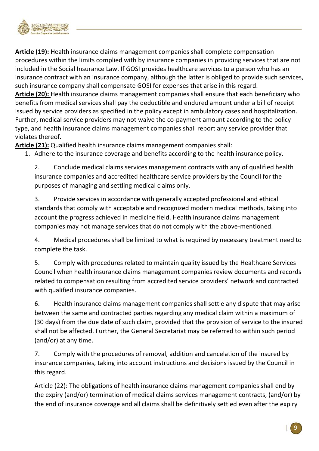

**Article (19):** Health insurance claims management companies shall complete compensation procedures within the limits complied with by insurance companies in providing services that are not included in the Social Insurance Law. If GOSI provides healthcare services to a person who has an insurance contract with an insurance company, although the latter is obliged to provide such services, such insurance company shall compensate GOSI for expenses that arise in this regard. **Article (20):** Health insurance claims management companies shall ensure that each beneficiary who benefits from medical services shall pay the deductible and endured amount under a bill of receipt issued by service providers as specified in the policy except in ambulatory cases and hospitalization. Further, medical service providers may not waive the co-payment amount according to the policy type, and health insurance claims management companies shall report any service provider that violates thereof.

**Article (21):** Qualified health insurance claims management companies shall:

1. Adhere to the insurance coverage and benefits according to the health insurance policy.

2. Conclude medical claims services management contracts with any of qualified health insurance companies and accredited healthcare service providers by the Council for the purposes of managing and settling medical claims only.

3. Provide services in accordance with generally accepted professional and ethical standards that comply with acceptable and recognized modern medical methods, taking into account the progress achieved in medicine field. Health insurance claims management companies may not manage services that do not comply with the above-mentioned.

4. Medical procedures shall be limited to what is required by necessary treatment need to complete the task.

5. Comply with procedures related to maintain quality issued by the Healthcare Services Council when health insurance claims management companies review documents and records related to compensation resulting from accredited service providers' network and contracted with qualified insurance companies.

6. Health insurance claims management companies shall settle any dispute that may arise between the same and contracted parties regarding any medical claim within a maximum of (30 days) from the due date of such claim, provided that the provision of service to the insured shall not be affected. Further, the General Secretariat may be referred to within such period (and/or) at any time.

7. Comply with the procedures of removal, addition and cancelation of the insured by insurance companies, taking into account instructions and decisions issued by the Council in this regard.

Article (22): The obligations of health insurance claims management companies shall end by the expiry (and/or) termination of medical claims services management contracts, (and/or) by the end of insurance coverage and all claims shall be definitively settled even after the expiry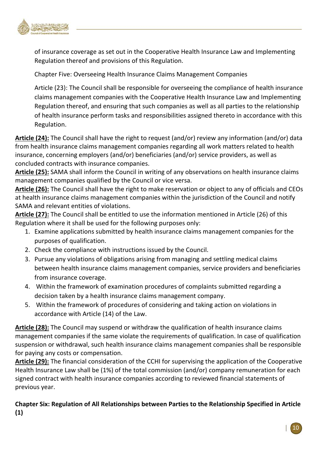

of insurance coverage as set out in the Cooperative Health Insurance Law and Implementing Regulation thereof and provisions of this Regulation.

Chapter Five: Overseeing Health Insurance Claims Management Companies

Article (23): The Council shall be responsible for overseeing the compliance of health insurance claims management companies with the Cooperative Health Insurance Law and Implementing Regulation thereof, and ensuring that such companies as well as all parties to the relationship of health insurance perform tasks and responsibilities assigned thereto in accordance with this Regulation.

**Article (24):** The Council shall have the right to request (and/or) review any information (and/or) data from health insurance claims management companies regarding all work matters related to health insurance, concerning employers (and/or) beneficiaries (and/or) service providers, as well as concluded contracts with insurance companies.

**Article (25):** SAMA shall inform the Council in writing of any observations on health insurance claims management companies qualified by the Council or vice versa.

**Article (26):** The Council shall have the right to make reservation or object to any of officials and CEOs at health insurance claims management companies within the jurisdiction of the Council and notify SAMA and relevant entities of violations.

**Article (27):** The Council shall be entitled to use the information mentioned in Article (26) of this Regulation where it shall be used for the following purposes only:

- 1. Examine applications submitted by health insurance claims management companies for the purposes of qualification.
- 2. Check the compliance with instructions issued by the Council.
- 3. Pursue any violations of obligations arising from managing and settling medical claims between health insurance claims management companies, service providers and beneficiaries from insurance coverage.
- 4. Within the framework of examination procedures of complaints submitted regarding a decision taken by a health insurance claims management company.
- 5. Within the framework of procedures of considering and taking action on violations in accordance with Article (14) of the Law.

**Article (28):** The Council may suspend or withdraw the qualification of health insurance claims management companies if the same violate the requirements of qualification. In case of qualification suspension or withdrawal, such health insurance claims management companies shall be responsible for paying any costs or compensation.

**Article (29):** The financial consideration of the CCHI for supervising the application of the Cooperative Health Insurance Law shall be (1%) of the total commission (and/or) company remuneration for each signed contract with health insurance companies according to reviewed financial statements of previous year.

**Chapter Six: Regulation of All Relationships between Parties to the Relationship Specified in Article (1)**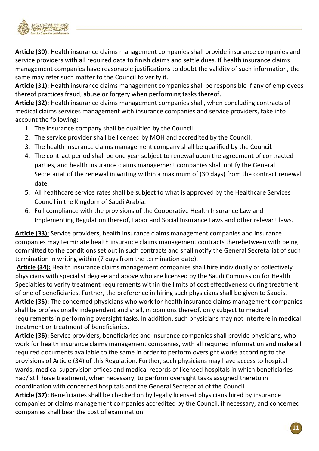

**Article (30):** Health insurance claims management companies shall provide insurance companies and service providers with all required data to finish claims and settle dues. If health insurance claims management companies have reasonable justifications to doubt the validity of such information, the same may refer such matter to the Council to verify it.

**Article (31):** Health insurance claims management companies shall be responsible if any of employees thereof practices fraud, abuse or forgery when performing tasks thereof.

**Article (32):** Health insurance claims management companies shall, when concluding contracts of medical claims services management with insurance companies and service providers, take into account the following:

- 1. The insurance company shall be qualified by the Council.
- 2. The service provider shall be licensed by MOH and accredited by the Council.
- 3. The health insurance claims management company shall be qualified by the Council.
- 4. The contract period shall be one year subject to renewal upon the agreement of contracted parties, and health insurance claims management companies shall notify the General Secretariat of the renewal in writing within a maximum of (30 days) from the contract renewal date.
- 5. All healthcare service rates shall be subject to what is approved by the Healthcare Services Council in the Kingdom of Saudi Arabia.
- 6. Full compliance with the provisions of the Cooperative Health Insurance Law and Implementing Regulation thereof, Labor and Social Insurance Laws and other relevant laws.

**Article (33):** Service providers, health insurance claims management companies and insurance companies may terminate health insurance claims management contracts therebetween with being committed to the conditions set out in such contracts and shall notify the General Secretariat of such termination in writing within (7 days from the termination date).

**Article (34):** Health insurance claims management companies shall hire individually or collectively physicians with specialist degree and above who are licensed by the Saudi Commission for Health Specialties to verify treatment requirements within the limits of cost effectiveness during treatment of one of beneficiaries. Further, the preference in hiring such physicians shall be given to Saudis. **Article (35):** The concerned physicians who work for health insurance claims management companies shall be professionally independent and shall, in opinions thereof, only subject to medical requirements in performing oversight tasks. In addition, such physicians may not interfere in medical treatment or treatment of beneficiaries.

**Article (36):** Service providers, beneficiaries and insurance companies shall provide physicians, who work for health insurance claims management companies, with all required information and make all required documents available to the same in order to perform oversight works according to the provisions of Article (34) of this Regulation. Further, such physicians may have access to hospital wards, medical supervision offices and medical records of licensed hospitals in which beneficiaries had/ still have treatment, when necessary, to perform oversight tasks assigned thereto in coordination with concerned hospitals and the General Secretariat of the Council.

**Article (37):** Beneficiaries shall be checked on by legally licensed physicians hired by insurance companies or claims management companies accredited by the Council, if necessary, and concerned companies shall bear the cost of examination.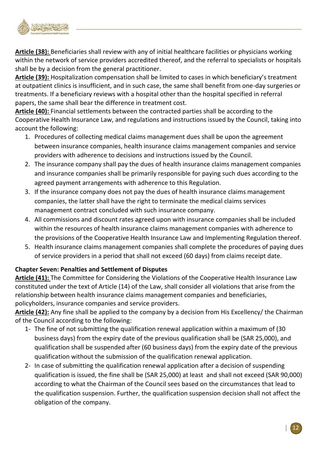

**Article (38):** Beneficiaries shall review with any of initial healthcare facilities or physicians working within the network of service providers accredited thereof, and the referral to specialists or hospitals shall be by a decision from the general practitioner.

**Article (39):** Hospitalization compensation shall be limited to cases in which beneficiary's treatment at outpatient clinics is insufficient, and in such case, the same shall benefit from one-day surgeries or treatments. If a beneficiary reviews with a hospital other than the hospital specified in referral papers, the same shall bear the difference in treatment cost.

**Article (40):** Financial settlements between the contracted parties shall be according to the Cooperative Health Insurance Law, and regulations and instructions issued by the Council, taking into account the following:

- 1. Procedures of collecting medical claims management dues shall be upon the agreement between insurance companies, health insurance claims management companies and service providers with adherence to decisions and instructions issued by the Council.
- 2. The insurance company shall pay the dues of health insurance claims management companies and insurance companies shall be primarily responsible for paying such dues according to the agreed payment arrangements with adherence to this Regulation.
- 3. If the insurance company does not pay the dues of health insurance claims management companies, the latter shall have the right to terminate the medical claims services management contract concluded with such insurance company.
- 4. All commissions and discount rates agreed upon with insurance companies shall be included within the resources of health insurance claims management companies with adherence to the provisions of the Cooperative Health Insurance Law and Implementing Regulation thereof.
- 5. Health insurance claims management companies shall complete the procedures of paying dues of service providers in a period that shall not exceed (60 days) from claims receipt date.

## **Chapter Seven: Penalties and Settlement of Disputes**

**Article (41):** The Committee for Considering the Violations of the Cooperative Health Insurance Law constituted under the text of Article (14) of the Law, shall consider all violations that arise from the relationship between health insurance claims management companies and beneficiaries, policyholders, insurance companies and service providers.

**Article (42):** Any fine shall be applied to the company by a decision from His Excellency/ the Chairman of the Council according to the following:

- 1- The fine of not submitting the qualification renewal application within a maximum of (30 business days) from the expiry date of the previous qualification shall be (SAR 25,000), and qualification shall be suspended after (60 business days) from the expiry date of the previous qualification without the submission of the qualification renewal application.
- 2- In case of submitting the qualification renewal application after a decision of suspending qualification is issued, the fine shall be (SAR 25,000) at least and shall not exceed (SAR 90,000) according to what the Chairman of the Council sees based on the circumstances that lead to the qualification suspension. Further, the qualification suspension decision shall not affect the obligation of the company.